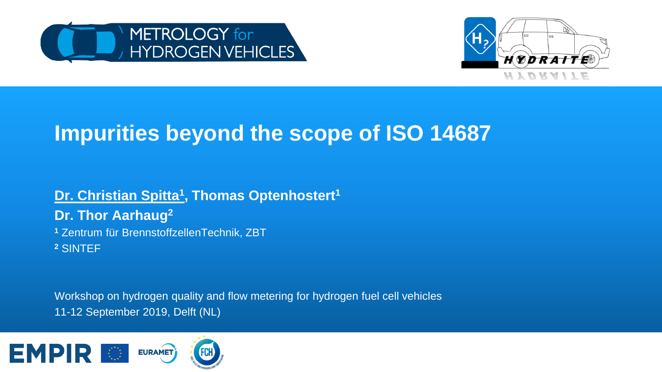



# **Impurities beyond the scope of ISO 14687**

#### **Dr. Christian Spitta<sup>1</sup></u>, Thomas Optenhostert<sup>1</sup> Dr. Thor Aarhaug2 <sup>1</sup>** Zentrum für BrennstoffzellenTechnik, ZBT **<sup>2</sup>** SINTEF

Workshop on hydrogen quality and flow metering for hydrogen fuel cell vehicles 11-12 September 2019, Delft (NL)

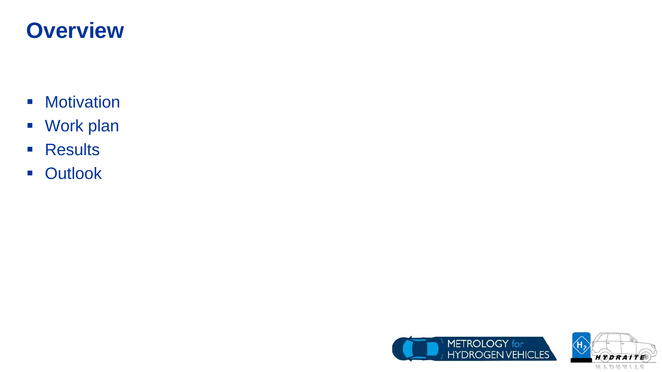# **Overview**

- **-** Motivation
- Work plan
- **Results**
- **-** Outlook



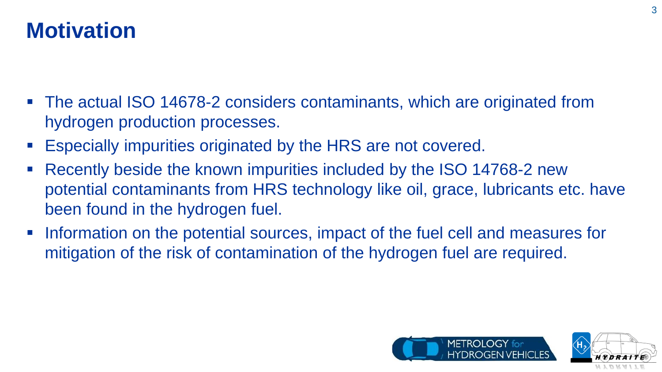# **Motivation**

- The actual ISO 14678-2 considers contaminants, which are originated from hydrogen production processes.
- Especially impurities originated by the HRS are not covered.
- Recently beside the known impurities included by the ISO 14768-2 new potential contaminants from HRS technology like oil, grace, lubricants etc. have been found in the hydrogen fuel.
- Information on the potential sources, impact of the fuel cell and measures for mitigation of the risk of contamination of the hydrogen fuel are required.



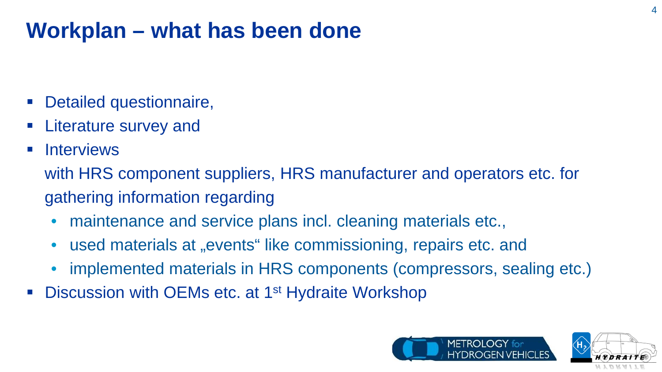# **Workplan – what has been done**

- Detailed questionnaire,
- Literature survey and
- **Interviews**

with HRS component suppliers, HRS manufacturer and operators etc. for gathering information regarding

- maintenance and service plans incl. cleaning materials etc.,
- used materials at "events" like commissioning, repairs etc. and
- implemented materials in HRS components (compressors, sealing etc.)
- Discussion with OEMs etc. at 1<sup>st</sup> Hydraite Workshop



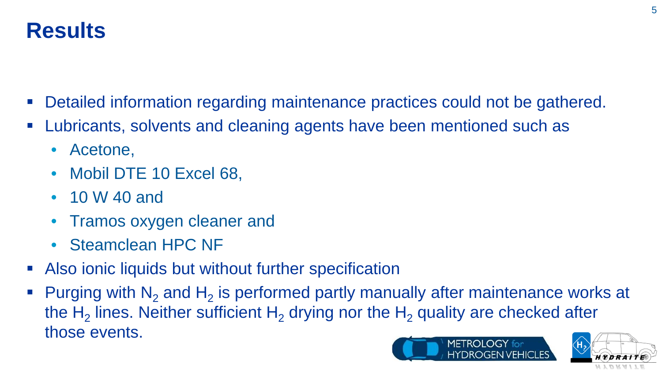- Detailed information regarding maintenance practices could not be gathered.
- Lubricants, solvents and cleaning agents have been mentioned such as
	- Acetone,
	- Mobil DTE 10 Excel 68,
	- 10 W 40 and
	- Tramos oxygen cleaner and
	- Steamclean HPC NF
- Also ionic liquids but without further specification
- Purging with  $N_2$  and  $H_2$  is performed partly manually after maintenance works at the H<sub>2</sub> lines. Neither sufficient H<sub>2</sub> drying nor the H<sub>2</sub> quality are checked after those events. MFTROI OGY for



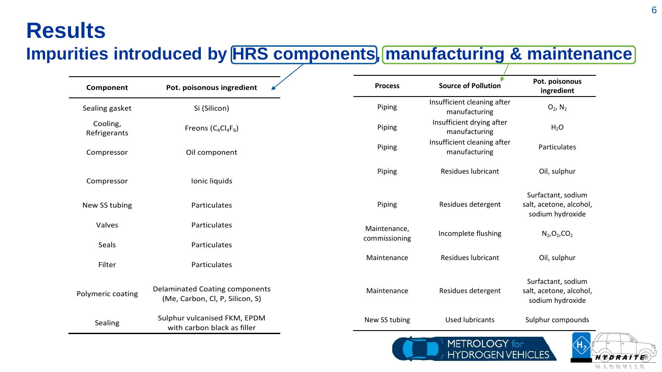#### **Impurities introduced by HRS components, manufacturing & maintenance**

| Component                | Pot. poisonous ingredient                                                | <b>Process</b> | <b>Source of Pollution</b>                   | Pot. poisonous<br>ingredient                                      |
|--------------------------|--------------------------------------------------------------------------|----------------|----------------------------------------------|-------------------------------------------------------------------|
| Sealing gasket           | Si (Silicon)                                                             | Piping         | Insufficient cleaning after<br>manufacturing | $O_2$ , $N_2$                                                     |
| Cooling,<br>Refrigerants | Freons $(C_4Cl_4F_6)$                                                    | Piping         | Insufficient drying after<br>manufacturing   | H <sub>2</sub> O                                                  |
| Compressor               | Oil component                                                            | Piping         | Insufficient cleaning after<br>manufacturing | Particulates                                                      |
| Compressor               | Ionic liquids                                                            | Piping         | <b>Residues lubricant</b>                    | Oil, sulphur                                                      |
| New SS tubing            | Particulates                                                             | Piping         | Residues detergent                           | Surfactant, sodium<br>salt, acetone, alcohol,<br>sodium hydroxide |
| Valves                   | Particulates                                                             | Maintenance,   | Incomplete flushing                          | $N_2$ , $O_2$ , $CO_2$                                            |
| Seals                    | Particulates                                                             | commissioning  |                                              |                                                                   |
| Filter                   | Particulates                                                             | Maintenance    | <b>Residues lubricant</b>                    | Oil, sulphur                                                      |
| Polymeric coating        | <b>Delaminated Coating components</b><br>(Me, Carbon, Cl, P, Silicon, S) | Maintenance    | Residues detergent                           | Surfactant, sodium<br>salt, acetone, alcohol,<br>sodium hydroxide |
| Sealing                  | Sulphur vulcanised FKM, EPDM<br>with carbon black as filler              | New SS tubing  | <b>Used lubricants</b>                       | Sulphur compounds                                                 |



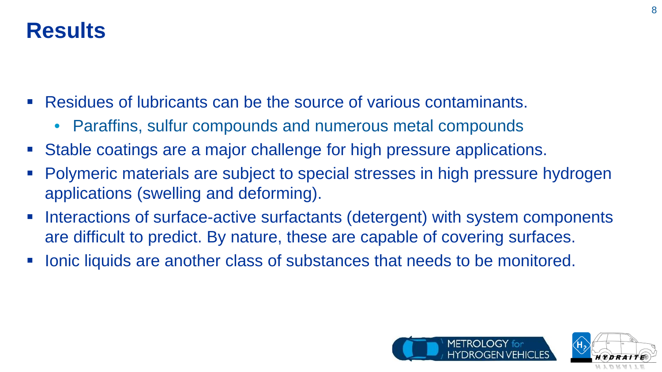- Residues of lubricants can be the source of various contaminants.
	- Paraffins, sulfur compounds and numerous metal compounds
- Stable coatings are a major challenge for high pressure applications.
- Polymeric materials are subject to special stresses in high pressure hydrogen applications (swelling and deforming).
- Interactions of surface-active surfactants (detergent) with system components are difficult to predict. By nature, these are capable of covering surfaces.
- Ionic liquids are another class of substances that needs to be monitored.



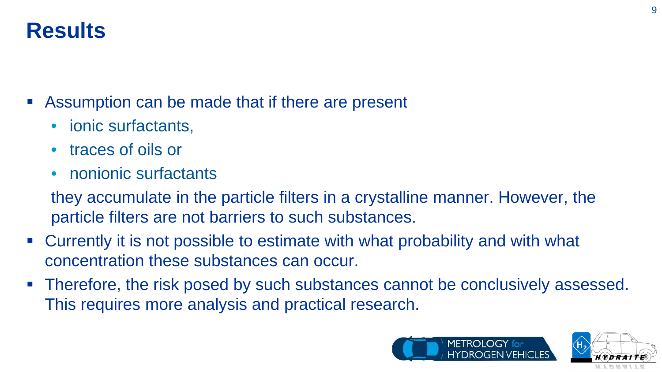Assumption can be made that if there are present

- ionic surfactants,
- traces of oils or
- nonionic surfactants

they accumulate in the particle filters in a crystalline manner. However, the particle filters are not barriers to such substances.

- Currently it is not possible to estimate with what probability and with what concentration these substances can occur.
- Therefore, the risk posed by such substances cannot be conclusively assessed. This requires more analysis and practical research.



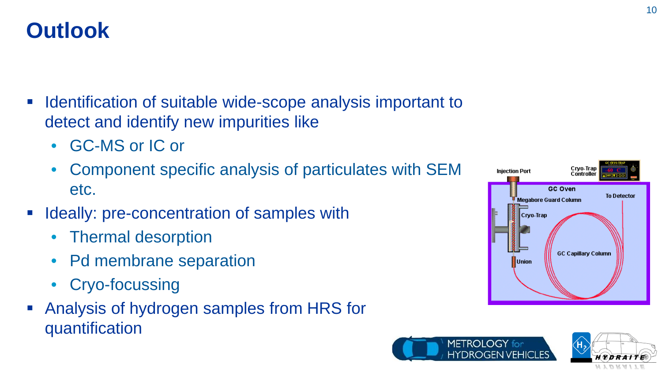- **IDENTIFICATO INTEGLARY IS CONTEX INCOCO EXAMPLE THE INTEGLARY IS EXAMPLE THE INTEGLARY IS EXAMPLE THE INTEGLARY IS EXAMPLE THE ISOS** detect and identify new impurities like
	- GC-MS or IC or
	- Component specific analysis of particulates with SEM etc.
- Ideally: pre-concentration of samples with
	- Thermal desorption
	- Pd membrane separation
	- Cryo-focussing
- Analysis of hydrogen samples from HRS for quantification





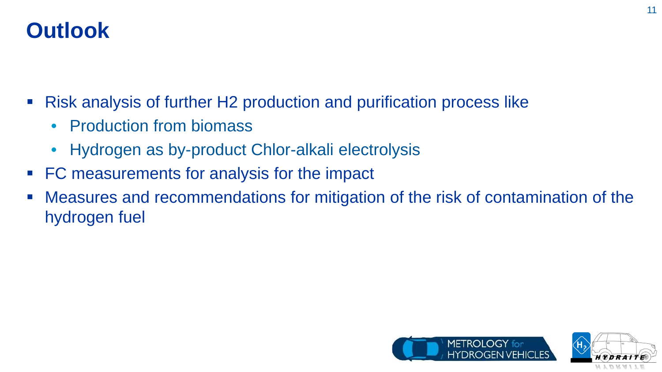# **Outlook**

- Risk analysis of further H2 production and purification process like
	- Production from biomass
	- Hydrogen as by-product Chlor-alkali electrolysis
- FC measurements for analysis for the impact
- Measures and recommendations for mitigation of the risk of contamination of the hydrogen fuel